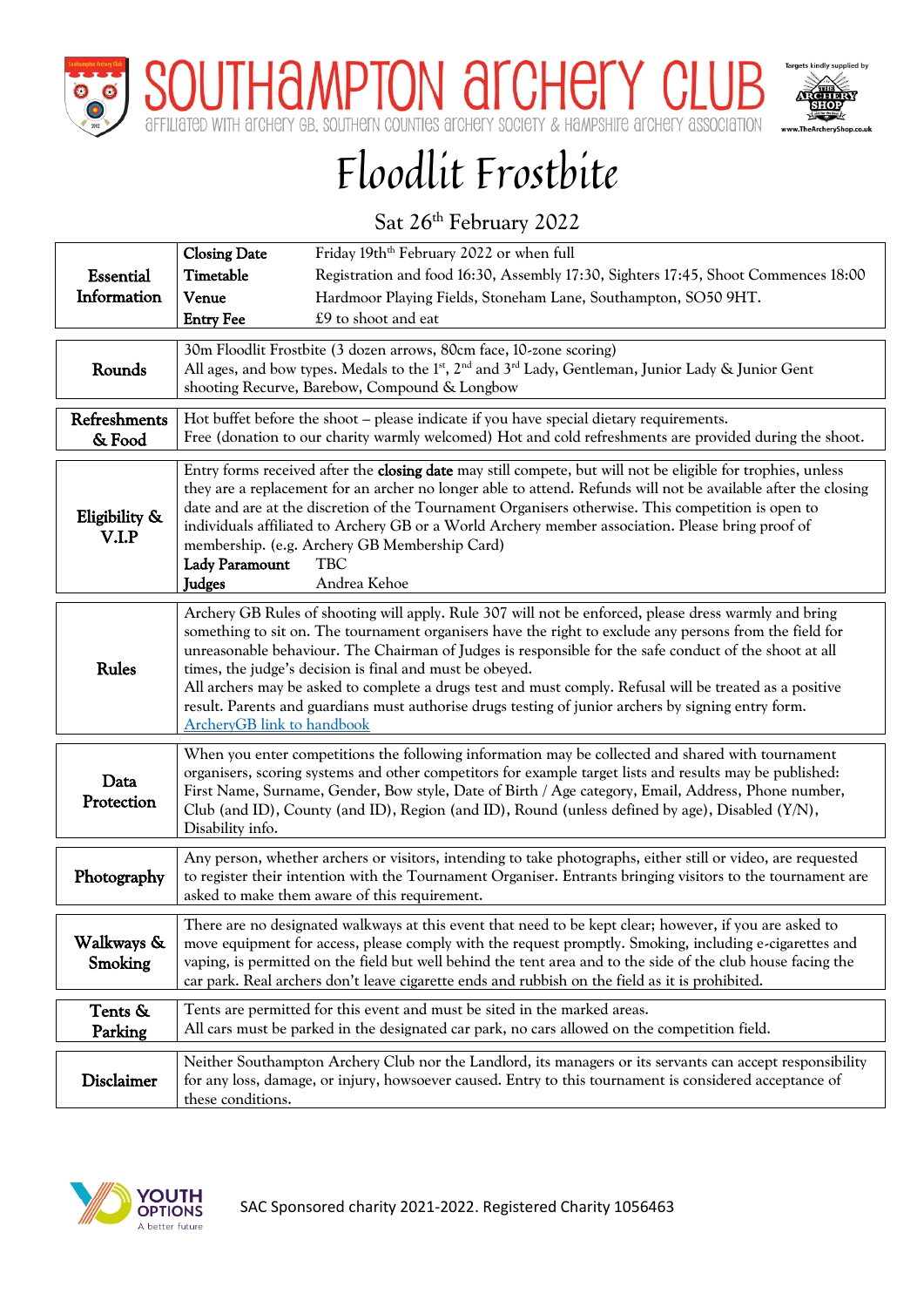

THAMPTON ALCHELY HITE ALCHELY AS



## Floodlit Frostbite

## Sat 26<sup>th</sup> February 2022

| <b>Essential</b>       | <b>Closing Date</b><br>Timetable                                                                                                                                                                                                                                                                                                                                                                                                                                                                                                                                                                                                               | Friday 19th <sup>th</sup> February 2022 or when full<br>Registration and food 16:30, Assembly 17:30, Sighters 17:45, Shoot Commences 18:00                                                                                                                                                                                                                                                                                                                                                                               |  |  |  |  |  |
|------------------------|------------------------------------------------------------------------------------------------------------------------------------------------------------------------------------------------------------------------------------------------------------------------------------------------------------------------------------------------------------------------------------------------------------------------------------------------------------------------------------------------------------------------------------------------------------------------------------------------------------------------------------------------|--------------------------------------------------------------------------------------------------------------------------------------------------------------------------------------------------------------------------------------------------------------------------------------------------------------------------------------------------------------------------------------------------------------------------------------------------------------------------------------------------------------------------|--|--|--|--|--|
| Information            | Venue<br><b>Entry Fee</b>                                                                                                                                                                                                                                                                                                                                                                                                                                                                                                                                                                                                                      | Hardmoor Playing Fields, Stoneham Lane, Southampton, SO50 9HT.<br>£9 to shoot and eat                                                                                                                                                                                                                                                                                                                                                                                                                                    |  |  |  |  |  |
|                        |                                                                                                                                                                                                                                                                                                                                                                                                                                                                                                                                                                                                                                                | 30m Floodlit Frostbite (3 dozen arrows, 80cm face, 10-zone scoring)                                                                                                                                                                                                                                                                                                                                                                                                                                                      |  |  |  |  |  |
| Rounds                 | All ages, and bow types. Medals to the 1 <sup>st</sup> , 2 <sup>nd</sup> and 3 <sup>rd</sup> Lady, Gentleman, Junior Lady & Junior Gent<br>shooting Recurve, Barebow, Compound & Longbow                                                                                                                                                                                                                                                                                                                                                                                                                                                       |                                                                                                                                                                                                                                                                                                                                                                                                                                                                                                                          |  |  |  |  |  |
| Refreshments<br>& Food | Hot buffet before the shoot - please indicate if you have special dietary requirements.<br>Free (donation to our charity warmly welcomed) Hot and cold refreshments are provided during the shoot.                                                                                                                                                                                                                                                                                                                                                                                                                                             |                                                                                                                                                                                                                                                                                                                                                                                                                                                                                                                          |  |  |  |  |  |
| Eligibility &<br>V.I.P | <b>Lady Paramount</b><br><b>Judges</b>                                                                                                                                                                                                                                                                                                                                                                                                                                                                                                                                                                                                         | Entry forms received after the closing date may still compete, but will not be eligible for trophies, unless<br>they are a replacement for an archer no longer able to attend. Refunds will not be available after the closing<br>date and are at the discretion of the Tournament Organisers otherwise. This competition is open to<br>individuals affiliated to Archery GB or a World Archery member association. Please bring proof of<br>membership. (e.g. Archery GB Membership Card)<br><b>TBC</b><br>Andrea Kehoe |  |  |  |  |  |
| <b>Rules</b>           | Archery GB Rules of shooting will apply. Rule 307 will not be enforced, please dress warmly and bring<br>something to sit on. The tournament organisers have the right to exclude any persons from the field for<br>unreasonable behaviour. The Chairman of Judges is responsible for the safe conduct of the shoot at all<br>times, the judge's decision is final and must be obeyed.<br>All archers may be asked to complete a drugs test and must comply. Refusal will be treated as a positive<br>result. Parents and guardians must authorise drugs testing of junior archers by signing entry form.<br><b>ArcheryGB</b> link to handbook |                                                                                                                                                                                                                                                                                                                                                                                                                                                                                                                          |  |  |  |  |  |
| Data<br>Protection     | Disability info.                                                                                                                                                                                                                                                                                                                                                                                                                                                                                                                                                                                                                               | When you enter competitions the following information may be collected and shared with tournament<br>organisers, scoring systems and other competitors for example target lists and results may be published:<br>First Name, Surname, Gender, Bow style, Date of Birth / Age category, Email, Address, Phone number,<br>Club (and ID), County (and ID), Region (and ID), Round (unless defined by age), Disabled $(Y/N)$ ,                                                                                               |  |  |  |  |  |
| Photography            |                                                                                                                                                                                                                                                                                                                                                                                                                                                                                                                                                                                                                                                | Any person, whether archers or visitors, intending to take photographs, either still or video, are requested<br>to register their intention with the Tournament Organiser. Entrants bringing visitors to the tournament are<br>asked to make them aware of this requirement.                                                                                                                                                                                                                                             |  |  |  |  |  |
| Walkways &<br>Smoking  |                                                                                                                                                                                                                                                                                                                                                                                                                                                                                                                                                                                                                                                | There are no designated walkways at this event that need to be kept clear; however, if you are asked to<br>move equipment for access, please comply with the request promptly. Smoking, including e-cigarettes and<br>vaping, is permitted on the field but well behind the tent area and to the side of the club house facing the<br>car park. Real archers don't leave cigarette ends and rubbish on the field as it is prohibited.                                                                                    |  |  |  |  |  |
| Tents &<br>Parking     |                                                                                                                                                                                                                                                                                                                                                                                                                                                                                                                                                                                                                                                | Tents are permitted for this event and must be sited in the marked areas.<br>All cars must be parked in the designated car park, no cars allowed on the competition field.                                                                                                                                                                                                                                                                                                                                               |  |  |  |  |  |
| Disclaimer             | these conditions.                                                                                                                                                                                                                                                                                                                                                                                                                                                                                                                                                                                                                              | Neither Southampton Archery Club nor the Landlord, its managers or its servants can accept responsibility<br>for any loss, damage, or injury, howsoever caused. Entry to this tournament is considered acceptance of                                                                                                                                                                                                                                                                                                     |  |  |  |  |  |